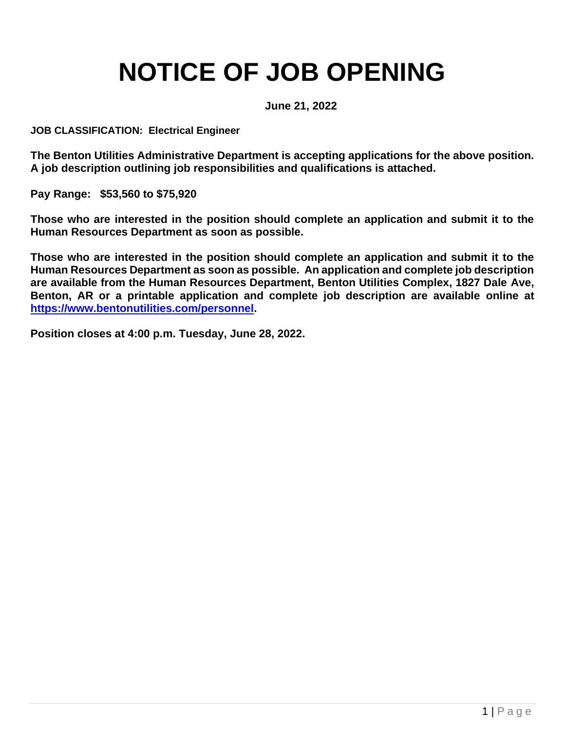# **NOTICE OF JOB OPENING**

**June 21, 2022**

**JOB CLASSIFICATION: Electrical Engineer** 

**The Benton Utilities Administrative Department is accepting applications for the above position. A job description outlining job responsibilities and qualifications is attached.** 

**Pay Range: \$53,560 to \$75,920**

**Those who are interested in the position should complete an application and submit it to the Human Resources Department as soon as possible.** 

**Those who are interested in the position should complete an application and submit it to the Human Resources Department as soon as possible. An application and complete job description are available from the Human Resources Department, Benton Utilities Complex, 1827 Dale Ave, Benton, AR or a printable application and complete job description are available online at [https://www.bentonutilities.com/personnel.](https://www.bentonutilities.com/personnel)** 

**Position closes at 4:00 p.m. Tuesday, June 28, 2022.**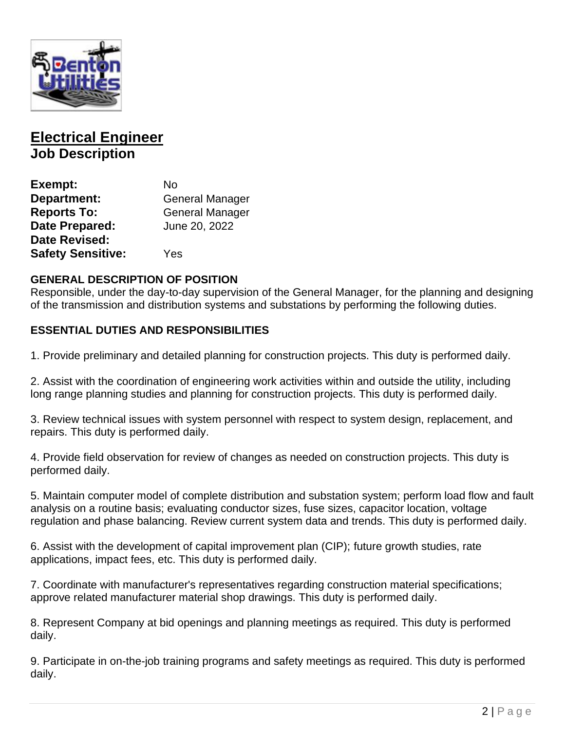

# **Electrical Engineer Job Description**

| Exempt:                  | N٥                     |
|--------------------------|------------------------|
| Department:              | <b>General Manager</b> |
| <b>Reports To:</b>       | <b>General Manager</b> |
| <b>Date Prepared:</b>    | June 20, 2022          |
| <b>Date Revised:</b>     |                        |
| <b>Safety Sensitive:</b> | Yes                    |

#### **GENERAL DESCRIPTION OF POSITION**

Responsible, under the day-to-day supervision of the General Manager, for the planning and designing of the transmission and distribution systems and substations by performing the following duties.

#### **ESSENTIAL DUTIES AND RESPONSIBILITIES**

1. Provide preliminary and detailed planning for construction projects. This duty is performed daily.

2. Assist with the coordination of engineering work activities within and outside the utility, including long range planning studies and planning for construction projects. This duty is performed daily.

3. Review technical issues with system personnel with respect to system design, replacement, and repairs. This duty is performed daily.

4. Provide field observation for review of changes as needed on construction projects. This duty is performed daily.

5. Maintain computer model of complete distribution and substation system; perform load flow and fault analysis on a routine basis; evaluating conductor sizes, fuse sizes, capacitor location, voltage regulation and phase balancing. Review current system data and trends. This duty is performed daily.

6. Assist with the development of capital improvement plan (CIP); future growth studies, rate applications, impact fees, etc. This duty is performed daily.

7. Coordinate with manufacturer's representatives regarding construction material specifications; approve related manufacturer material shop drawings. This duty is performed daily.

8. Represent Company at bid openings and planning meetings as required. This duty is performed daily.

9. Participate in on-the-job training programs and safety meetings as required. This duty is performed daily.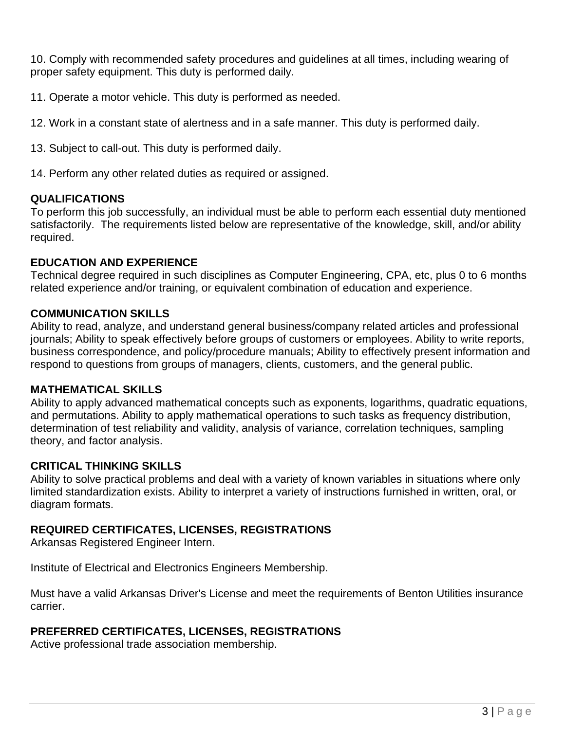10. Comply with recommended safety procedures and guidelines at all times, including wearing of proper safety equipment. This duty is performed daily.

11. Operate a motor vehicle. This duty is performed as needed.

12. Work in a constant state of alertness and in a safe manner. This duty is performed daily.

13. Subject to call-out. This duty is performed daily.

14. Perform any other related duties as required or assigned.

#### **QUALIFICATIONS**

To perform this job successfully, an individual must be able to perform each essential duty mentioned satisfactorily. The requirements listed below are representative of the knowledge, skill, and/or ability required.

#### **EDUCATION AND EXPERIENCE**

Technical degree required in such disciplines as Computer Engineering, CPA, etc, plus 0 to 6 months related experience and/or training, or equivalent combination of education and experience.

#### **COMMUNICATION SKILLS**

Ability to read, analyze, and understand general business/company related articles and professional journals; Ability to speak effectively before groups of customers or employees. Ability to write reports, business correspondence, and policy/procedure manuals; Ability to effectively present information and respond to questions from groups of managers, clients, customers, and the general public.

#### **MATHEMATICAL SKILLS**

Ability to apply advanced mathematical concepts such as exponents, logarithms, quadratic equations, and permutations. Ability to apply mathematical operations to such tasks as frequency distribution, determination of test reliability and validity, analysis of variance, correlation techniques, sampling theory, and factor analysis.

#### **CRITICAL THINKING SKILLS**

Ability to solve practical problems and deal with a variety of known variables in situations where only limited standardization exists. Ability to interpret a variety of instructions furnished in written, oral, or diagram formats.

#### **REQUIRED CERTIFICATES, LICENSES, REGISTRATIONS**

Arkansas Registered Engineer Intern.

Institute of Electrical and Electronics Engineers Membership.

Must have a valid Arkansas Driver's License and meet the requirements of Benton Utilities insurance carrier.

#### **PREFERRED CERTIFICATES, LICENSES, REGISTRATIONS**

Active professional trade association membership.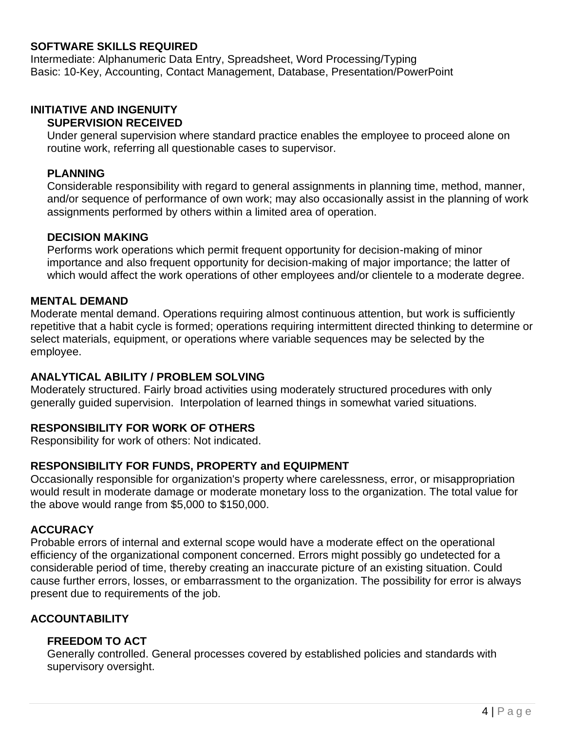#### **SOFTWARE SKILLS REQUIRED**

Intermediate: Alphanumeric Data Entry, Spreadsheet, Word Processing/Typing Basic: 10-Key, Accounting, Contact Management, Database, Presentation/PowerPoint

### **INITIATIVE AND INGENUITY**

#### **SUPERVISION RECEIVED**

Under general supervision where standard practice enables the employee to proceed alone on routine work, referring all questionable cases to supervisor.

#### **PLANNING**

Considerable responsibility with regard to general assignments in planning time, method, manner, and/or sequence of performance of own work; may also occasionally assist in the planning of work assignments performed by others within a limited area of operation.

#### **DECISION MAKING**

Performs work operations which permit frequent opportunity for decision-making of minor importance and also frequent opportunity for decision-making of major importance; the latter of which would affect the work operations of other employees and/or clientele to a moderate degree.

#### **MENTAL DEMAND**

Moderate mental demand. Operations requiring almost continuous attention, but work is sufficiently repetitive that a habit cycle is formed; operations requiring intermittent directed thinking to determine or select materials, equipment, or operations where variable sequences may be selected by the employee.

#### **ANALYTICAL ABILITY / PROBLEM SOLVING**

Moderately structured. Fairly broad activities using moderately structured procedures with only generally guided supervision. Interpolation of learned things in somewhat varied situations.

#### **RESPONSIBILITY FOR WORK OF OTHERS**

Responsibility for work of others: Not indicated.

#### **RESPONSIBILITY FOR FUNDS, PROPERTY and EQUIPMENT**

Occasionally responsible for organization's property where carelessness, error, or misappropriation would result in moderate damage or moderate monetary loss to the organization. The total value for the above would range from \$5,000 to \$150,000.

#### **ACCURACY**

Probable errors of internal and external scope would have a moderate effect on the operational efficiency of the organizational component concerned. Errors might possibly go undetected for a considerable period of time, thereby creating an inaccurate picture of an existing situation. Could cause further errors, losses, or embarrassment to the organization. The possibility for error is always present due to requirements of the job.

#### **ACCOUNTABILITY**

#### **FREEDOM TO ACT**

Generally controlled. General processes covered by established policies and standards with supervisory oversight.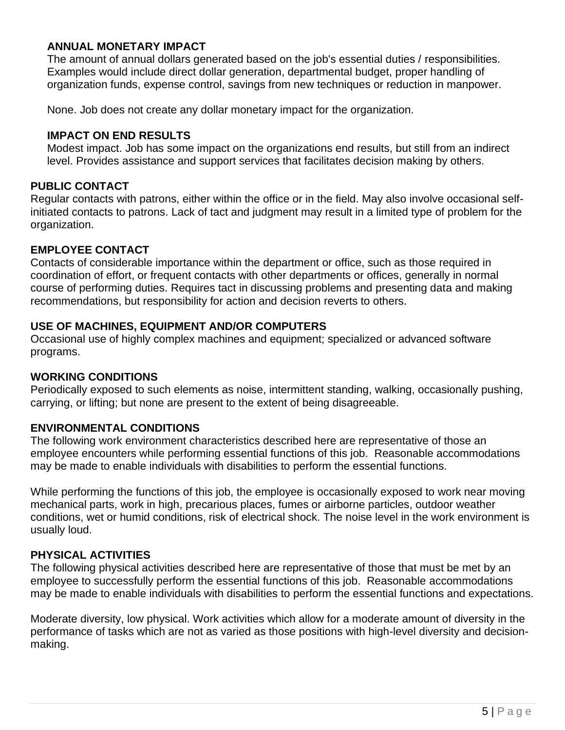#### **ANNUAL MONETARY IMPACT**

The amount of annual dollars generated based on the job's essential duties / responsibilities. Examples would include direct dollar generation, departmental budget, proper handling of organization funds, expense control, savings from new techniques or reduction in manpower.

None. Job does not create any dollar monetary impact for the organization.

#### **IMPACT ON END RESULTS**

Modest impact. Job has some impact on the organizations end results, but still from an indirect level. Provides assistance and support services that facilitates decision making by others.

#### **PUBLIC CONTACT**

Regular contacts with patrons, either within the office or in the field. May also involve occasional selfinitiated contacts to patrons. Lack of tact and judgment may result in a limited type of problem for the organization.

#### **EMPLOYEE CONTACT**

Contacts of considerable importance within the department or office, such as those required in coordination of effort, or frequent contacts with other departments or offices, generally in normal course of performing duties. Requires tact in discussing problems and presenting data and making recommendations, but responsibility for action and decision reverts to others.

#### **USE OF MACHINES, EQUIPMENT AND/OR COMPUTERS**

Occasional use of highly complex machines and equipment; specialized or advanced software programs.

#### **WORKING CONDITIONS**

Periodically exposed to such elements as noise, intermittent standing, walking, occasionally pushing, carrying, or lifting; but none are present to the extent of being disagreeable.

#### **ENVIRONMENTAL CONDITIONS**

The following work environment characteristics described here are representative of those an employee encounters while performing essential functions of this job. Reasonable accommodations may be made to enable individuals with disabilities to perform the essential functions.

While performing the functions of this job, the employee is occasionally exposed to work near moving mechanical parts, work in high, precarious places, fumes or airborne particles, outdoor weather conditions, wet or humid conditions, risk of electrical shock. The noise level in the work environment is usually loud.

#### **PHYSICAL ACTIVITIES**

The following physical activities described here are representative of those that must be met by an employee to successfully perform the essential functions of this job. Reasonable accommodations may be made to enable individuals with disabilities to perform the essential functions and expectations.

Moderate diversity, low physical. Work activities which allow for a moderate amount of diversity in the performance of tasks which are not as varied as those positions with high-level diversity and decisionmaking.